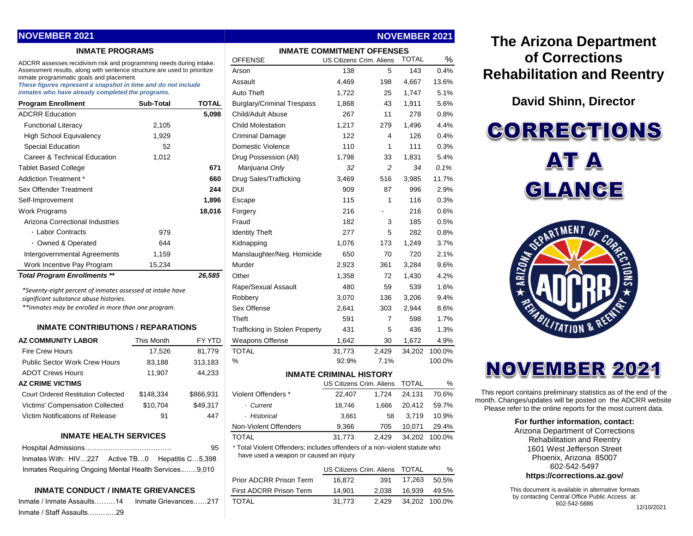## **NOVEMBER 2021**

#### **INMATE PROGRAMS**

| <b>Program Enrollment</b>           | Sub-Total | TOTAL  |
|-------------------------------------|-----------|--------|
| <b>ADCRR Education</b>              |           | 5,098  |
| <b>Functional Literacy</b>          | 2,105     |        |
| <b>High School Equivalency</b>      | 1,929     |        |
| Special Education                   | 52        |        |
| Career & Technical Education        | 1,012     |        |
| <b>Tablet Based College</b>         |           | 671    |
| Addiction Treatment *               |           | 660    |
| Sex Offender Treatment              |           | 244    |
| Self-Improvement                    |           | 1,896  |
| Work Programs                       |           | 18,016 |
| Arizona Correctional Industries     |           |        |
| · Labor Contracts                   | 979       |        |
| • Owned & Operated                  | 644       |        |
| Intergovernmental Agreements        | 1,159     |        |
| Work Incentive Pay Program          | 15,234    |        |
| <b>Total Program Enrollments **</b> |           | 26.585 |

#### **INMATE CONTRIBUTIONS / REPARATIONS**

| <b>AZ COMMUNITY LABOR</b>                  | <b>This Month</b> | <b>FY YTD</b> |
|--------------------------------------------|-------------------|---------------|
| <b>Fire Crew Hours</b>                     | 17,526            | 81,779        |
| <b>Public Sector Work Crew Hours</b>       | 83,188            | 313,183       |
| <b>ADOT Crews Hours</b>                    | 11,907            | 44,233        |
| <b>AZ CRIME VICTIMS</b>                    |                   |               |
| <b>Court Ordered Restitution Collected</b> | \$148.334         | \$866,931     |
| Victims' Compensation Collected            | \$10,704          | \$49.317      |
| Victim Notifications of Release            | 91                | 447           |

#### **INMATE HEALTH SERVICES**

|                                                       |  | 95 |
|-------------------------------------------------------|--|----|
| Inmates With: HIV227 Active TB0 Hepatitis C5,398      |  |    |
| Inmates Requiring Ongoing Mental Health Services9.010 |  |    |

#### **INMATE CONDUCT / INMATE GRIEVANCES**

|                           | Inmate / Inmate Assaults………14  Inmate Grievances……217  TOTAL |  | 2.429 34.202 100.0% |  |
|---------------------------|--------------------------------------------------------------|--|---------------------|--|
| Inmate / Staff Assaults29 |                                                              |  |                     |  |

| <b>INMATE PROGRAMS</b>                                                                                               |                  |                  |                                                                                                                      | <b>INMATE COMMITMENT OFFENSES</b> |                |              |        |
|----------------------------------------------------------------------------------------------------------------------|------------------|------------------|----------------------------------------------------------------------------------------------------------------------|-----------------------------------|----------------|--------------|--------|
| ADCRR assesses recidivism risk and programming needs during intake.                                                  |                  |                  | <b>OFFENSE</b>                                                                                                       | <b>US Citizens Crim. Aliens</b>   |                | <b>TOTAL</b> | %      |
| Assessment results, along with sentence structure are used to prioritize<br>inmate programmatic goals and placement. |                  |                  | Arson                                                                                                                | 138                               | 5              | 143          | 0.4%   |
| These figures represent a snapshot in time and do not include                                                        |                  |                  | Assault                                                                                                              | 4,469                             | 198            | 4,667        | 13.6%  |
| inmates who have already completed the programs.                                                                     |                  |                  | <b>Auto Theft</b>                                                                                                    | 1,722                             | 25             | 1,747        | 5.1%   |
| <b>Program Enrollment</b>                                                                                            | <b>Sub-Total</b> | <b>TOTAL</b>     | <b>Burglary/Criminal Trespass</b>                                                                                    | 1.868                             | 43             | 1,911        | 5.6%   |
| <b>ADCRR Education</b>                                                                                               |                  | 5,098            | Child/Adult Abuse                                                                                                    | 267                               | 11             | 278          | 0.8%   |
| <b>Functional Literacy</b>                                                                                           | 2,105            |                  | <b>Child Molestation</b>                                                                                             | 1,217                             | 279            | 1,496        | 4.4%   |
| <b>High School Equivalency</b>                                                                                       | 1,929            |                  | <b>Criminal Damage</b>                                                                                               | 122                               | 4              | 126          | 0.4%   |
| <b>Special Education</b>                                                                                             | 52               |                  | <b>Domestic Violence</b>                                                                                             | 110                               | $\mathbf{1}$   | 111          | 0.3%   |
| Career & Technical Education                                                                                         | 1,012            |                  | Drug Possession (All)                                                                                                | 1.798                             | 33             | 1,831        | 5.4%   |
| <b>Tablet Based College</b>                                                                                          |                  | 671              | Marijuana Only                                                                                                       | 32                                | 2              | 34           | 0.1%   |
| Addiction Treatment *                                                                                                |                  | 660              | Drug Sales/Trafficking                                                                                               | 3,469                             | 516            | 3,985        | 11.7%  |
| Sex Offender Treatment                                                                                               |                  | 244              | <b>DUI</b>                                                                                                           | 909                               | 87             | 996          | 2.9%   |
| Self-Improvement                                                                                                     |                  | 1,896            | Escape                                                                                                               | 115                               | $\mathbf{1}$   | 116          | 0.3%   |
| Work Programs                                                                                                        |                  | 18,016           | Forgery                                                                                                              | 216                               | $\blacksquare$ | 216          | 0.6%   |
| Arizona Correctional Industries                                                                                      |                  |                  | Fraud                                                                                                                | 182                               | 3              | 185          | 0.5%   |
| · Labor Contracts                                                                                                    | 979              |                  | <b>Identity Theft</b>                                                                                                | 277                               | 5              | 282          | 0.8%   |
| · Owned & Operated                                                                                                   | 644              |                  | Kidnapping                                                                                                           | 1,076                             | 173            | 1,249        | 3.7%   |
| Intergovernmental Agreements                                                                                         | 1,159            |                  | Manslaughter/Neg. Homicide                                                                                           | 650                               | 70             | 720          | 2.1%   |
| Work Incentive Pay Program                                                                                           | 15,234           |                  | Murder                                                                                                               | 2,923                             | 361            | 3,284        | 9.6%   |
| <b>Total Program Enrollments **</b>                                                                                  |                  | 26,585           | Other                                                                                                                | 1,358                             | 72             | 1,430        | 4.2%   |
|                                                                                                                      |                  |                  | Rape/Sexual Assault                                                                                                  | 480                               | 59             | 539          | 1.6%   |
| *Seventy-eight percent of inmates assessed at intake have<br>significant substance abuse histories.                  |                  |                  | Robbery                                                                                                              | 3,070                             | 136            | 3,206        | 9.4%   |
| **Inmates may be enrolled in more than one program.                                                                  |                  |                  | Sex Offense                                                                                                          | 2,641                             | 303            | 2,944        | 8.6%   |
|                                                                                                                      |                  |                  | Theft                                                                                                                | 591                               | $\overline{7}$ | 598          | 1.7%   |
| <b>INMATE CONTRIBUTIONS / REPARATIONS</b>                                                                            |                  |                  | <b>Trafficking in Stolen Property</b>                                                                                | 431                               | 5              | 436          | 1.3%   |
| <b>AZ COMMUNITY LABOR</b>                                                                                            | This Month       | FY YTD           | <b>Weapons Offense</b>                                                                                               | 1,642                             | 30             | 1,672        | 4.9%   |
| <b>Fire Crew Hours</b>                                                                                               | 17,526           | 81,779           | <b>TOTAL</b>                                                                                                         | 31,773                            | 2,429          | 34,202       | 100.0% |
| <b>Public Sector Work Crew Hours</b>                                                                                 | 83,188           | 313,183          | %                                                                                                                    | 92.9%                             | 7.1%           |              | 100.0% |
| <b>ADOT Crews Hours</b>                                                                                              | 11,907           | 44,233           |                                                                                                                      | <b>INMATE CRIMINAL HISTORY</b>    |                |              |        |
| <b>AZ CRIME VICTIMS</b>                                                                                              |                  |                  |                                                                                                                      | US Citizens Crim. Aliens          |                | <b>TOTAL</b> | %      |
| <b>Court Ordered Restitution Collected</b>                                                                           | \$148,334        | \$866,931        | Violent Offenders *                                                                                                  | 22,407                            | 1,724          | 24,131       | 70.6%  |
| Victims' Compensation Collected                                                                                      | \$10,704         | \$49,317         | · Current                                                                                                            | 18,746                            | 1,666          | 20,412       | 59.7%  |
| Victim Notifications of Release                                                                                      | 91               | 447              | · Historical                                                                                                         | 3,661                             | 58             | 3,719        | 10.9%  |
|                                                                                                                      |                  |                  | Non-Violent Offenders                                                                                                | 9,366                             | 705            | 10,071       | 29.4%  |
| <b>INMATE HEALTH SERVICES</b>                                                                                        |                  |                  | <b>TOTAL</b>                                                                                                         | 31,773                            | 2,429          | 34,202       | 100.0% |
|                                                                                                                      |                  | 95               | * Total Violent Offenders; includes offenders of a non-violent statute who<br>have used a weapon or caused an injury |                                   |                |              |        |
| Inmates With: HIV227 Active TB0                                                                                      |                  | Hepatitis C5,398 |                                                                                                                      |                                   |                |              |        |
| Inmates Requiring Ongoing Mental Health Services9,010                                                                |                  |                  |                                                                                                                      | US Citizens Crim. Aliens          |                | <b>TOTAL</b> | %      |
|                                                                                                                      |                  |                  | Prior ADCRR Prison Term                                                                                              | 16,872                            | 391            | 17,263       | 50.5%  |

First ADCRR Prison Term 14,901 2,038 16,939 49.5%

**NOVEMBER 2021**

# **The Arizona Department of Corrections Rehabilitation and Reentry**

## **David Shinn, Director**

**CORRECTIONS** AT A GLANCE





This report contains preliminary statistics as of the end of the month. Changes/updates will be posted on the ADCRR website. Please refer to the online reports for the most current data.

#### **For further information, contact:**

Arizona Department of Corrections Rehabilitation and Reentry 1601 West Jefferson Street Phoenix, Arizona 85007 602-542-5497

#### **https://corrections.az.gov/**

This document is available in alternative formats by contacting Central Office Public Access at: 602-542-5886